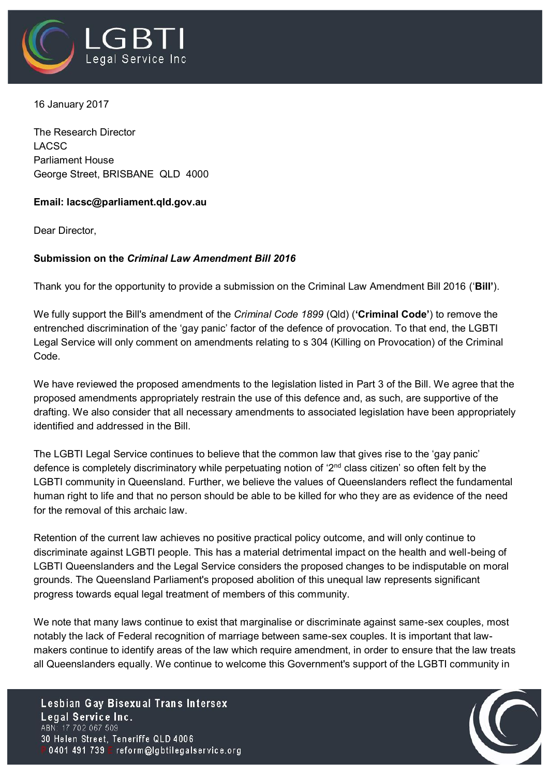

16 January 2017

The Research Director LACSC Parliament House George Street, BRISBANE QLD 4000

## **Email: lacsc@parliament.qld.gov.au**

Dear Director,

## **Submission on the** *Criminal Law Amendment Bill 2016*

Thank you for the opportunity to provide a submission on the Criminal Law Amendment Bill 2016 ('**Bill'**).

We fully support the Bill's amendment of the *Criminal Code 1899* (Qld) (**'Criminal Code'**) to remove the entrenched discrimination of the 'gay panic' factor of the defence of provocation. To that end, the LGBTI Legal Service will only comment on amendments relating to s 304 (Killing on Provocation) of the Criminal Code.

We have reviewed the proposed amendments to the legislation listed in Part 3 of the Bill. We agree that the proposed amendments appropriately restrain the use of this defence and, as such, are supportive of the drafting. We also consider that all necessary amendments to associated legislation have been appropriately identified and addressed in the Bill.

The LGBTI Legal Service continues to believe that the common law that gives rise to the 'gay panic' defence is completely discriminatory while perpetuating notion of '2<sup>nd</sup> class citizen' so often felt by the LGBTI community in Queensland. Further, we believe the values of Queenslanders reflect the fundamental human right to life and that no person should be able to be killed for who they are as evidence of the need for the removal of this archaic law.

Retention of the current law achieves no positive practical policy outcome, and will only continue to discriminate against LGBTI people. This has a material detrimental impact on the health and well-being of LGBTI Queenslanders and the Legal Service considers the proposed changes to be indisputable on moral grounds. The Queensland Parliament's proposed abolition of this unequal law represents significant progress towards equal legal treatment of members of this community.

We note that many laws continue to exist that marginalise or discriminate against same-sex couples, most notably the lack of Federal recognition of marriage between same-sex couples. It is important that lawmakers continue to identify areas of the law which require amendment, in order to ensure that the law treats all Queenslanders equally. We continue to welcome this Government's support of the LGBTI community in

Lesbian Gay Bisexual Trans Intersex Legal Service Inc. ABN: 17 702 067 509 30 Helen Street, Teneriffe QLD 4006 0401 491 739 E reform@lgbtilegalservice.org